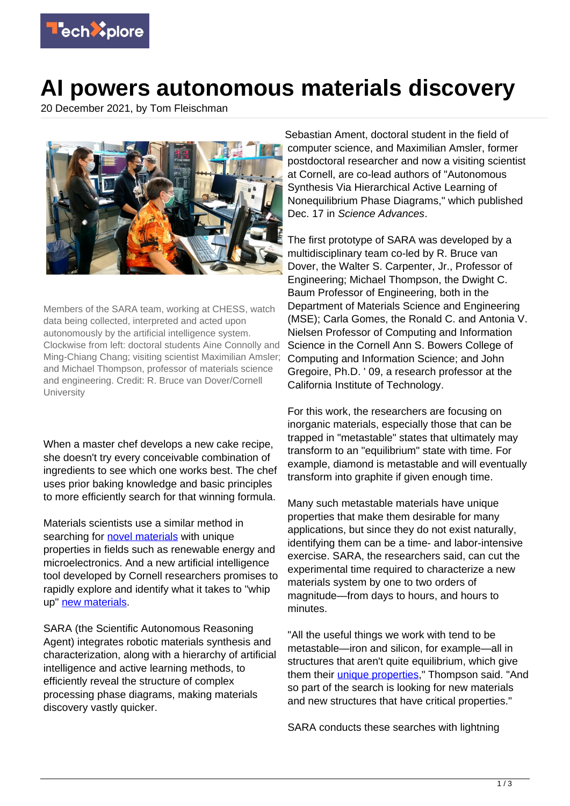

## **AI powers autonomous materials discovery**

20 December 2021, by Tom Fleischman



Members of the SARA team, working at CHESS, watch data being collected, interpreted and acted upon autonomously by the artificial intelligence system. Clockwise from left: doctoral students Aine Connolly and Ming-Chiang Chang; visiting scientist Maximilian Amsler; and Michael Thompson, professor of materials science and engineering. Credit: R. Bruce van Dover/Cornell **University** 

When a master chef develops a new cake recipe, she doesn't try every conceivable combination of ingredients to see which one works best. The chef uses prior baking knowledge and basic principles to more efficiently search for that winning formula.

Materials scientists use a similar method in searching for [novel materials](https://techxplore.com/tags/novel+materials/) with unique properties in fields such as renewable energy and microelectronics. And a new artificial intelligence tool developed by Cornell researchers promises to rapidly explore and identify what it takes to "whip up" [new materials](https://techxplore.com/tags/new+materials/).

SARA (the Scientific Autonomous Reasoning Agent) integrates robotic materials synthesis and characterization, along with a hierarchy of artificial intelligence and active learning methods, to efficiently reveal the structure of complex processing phase diagrams, making materials discovery vastly quicker.

Sebastian Ament, doctoral student in the field of computer science, and Maximilian Amsler, former postdoctoral researcher and now a visiting scientist at Cornell, are co-lead authors of "Autonomous Synthesis Via Hierarchical Active Learning of Nonequilibrium Phase Diagrams," which published Dec. 17 in Science Advances.

The first prototype of SARA was developed by a multidisciplinary team co-led by R. Bruce van Dover, the Walter S. Carpenter, Jr., Professor of Engineering; Michael Thompson, the Dwight C. Baum Professor of Engineering, both in the Department of Materials Science and Engineering (MSE); Carla Gomes, the Ronald C. and Antonia V. Nielsen Professor of Computing and Information Science in the Cornell Ann S. Bowers College of Computing and Information Science; and John Gregoire, Ph.D. ' 09, a research professor at the California Institute of Technology.

For this work, the researchers are focusing on inorganic materials, especially those that can be trapped in "metastable" states that ultimately may transform to an "equilibrium" state with time. For example, diamond is metastable and will eventually transform into graphite if given enough time.

Many such metastable materials have unique properties that make them desirable for many applications, but since they do not exist naturally, identifying them can be a time- and labor-intensive exercise. SARA, the researchers said, can cut the experimental time required to characterize a new materials system by one to two orders of magnitude—from days to hours, and hours to minutes.

"All the useful things we work with tend to be metastable—iron and silicon, for example—all in structures that aren't quite equilibrium, which give them their *unique properties*," Thompson said. "And so part of the search is looking for new materials and new structures that have critical properties."

SARA conducts these searches with lightning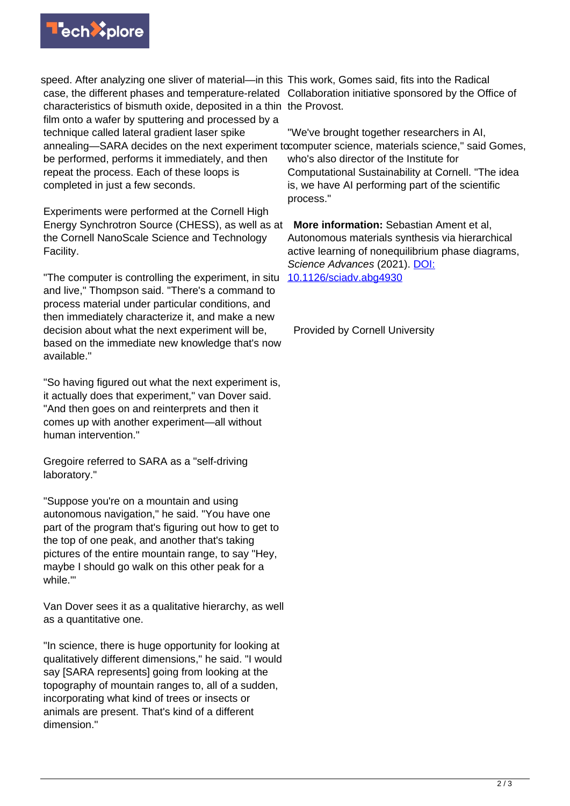

speed. After analyzing one sliver of material—in this This work, Gomes said, fits into the Radical case, the different phases and temperature-related Collaboration initiative sponsored by the Office of characteristics of bismuth oxide, deposited in a thin the Provost. film onto a wafer by sputtering and processed by a technique called lateral gradient laser spike annealing—SARA decides on the next experiment tocomputer science, materials science," said Gomes, be performed, performs it immediately, and then repeat the process. Each of these loops is completed in just a few seconds.

Experiments were performed at the Cornell High Energy Synchrotron Source (CHESS), as well as at **More information:** Sebastian Ament et al, the Cornell NanoScale Science and Technology Facility.

"The computer is controlling the experiment, in situ and live," Thompson said. "There's a command to process material under particular conditions, and then immediately characterize it, and make a new decision about what the next experiment will be, based on the immediate new knowledge that's now available."

"So having figured out what the next experiment is, it actually does that experiment," van Dover said. "And then goes on and reinterprets and then it comes up with another experiment—all without human intervention."

Gregoire referred to SARA as a "self-driving laboratory."

"Suppose you're on a mountain and using autonomous navigation," he said. "You have one part of the program that's figuring out how to get to the top of one peak, and another that's taking pictures of the entire mountain range, to say "Hey, maybe I should go walk on this other peak for a while.'"

Van Dover sees it as a qualitative hierarchy, as well as a quantitative one.

"In science, there is huge opportunity for looking at qualitatively different dimensions," he said. "I would say [SARA represents] going from looking at the topography of mountain ranges to, all of a sudden, incorporating what kind of trees or insects or animals are present. That's kind of a different dimension."

"We've brought together researchers in AI, who's also director of the Institute for Computational Sustainability at Cornell. "The idea is, we have AI performing part of the scientific process."

Autonomous materials synthesis via hierarchical active learning of nonequilibrium phase diagrams, Science Advances (2021). [DOI:](http://dx.doi.org/10.1126/sciadv.abg4930) [10.1126/sciadv.abg4930](http://dx.doi.org/10.1126/sciadv.abg4930)

Provided by Cornell University